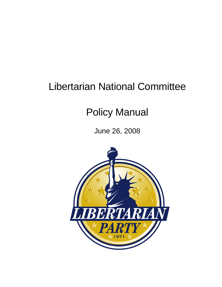# Libertarian National Committee

# Policy Manual

June 26, 2008

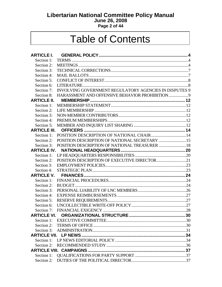# **Libertarian National Committee Policy Manual June 26, 2008**

#### **Page 2 of 44**

# Table of Contents

| <b>ARTICLE I.</b>  |                                                           |  |
|--------------------|-----------------------------------------------------------|--|
| Section 1:         |                                                           |  |
| Section 2:         |                                                           |  |
| Section 3:         |                                                           |  |
| Section 4:         |                                                           |  |
| Section 5:         |                                                           |  |
| Section 6:         |                                                           |  |
| Section 7:         | INVOLVING GOVERNMENT REGULATORY AGENCIES IN DISPUTES 9    |  |
| Section 8:         |                                                           |  |
| <b>ARTICLE II.</b> |                                                           |  |
| Section 1:         |                                                           |  |
| Section 2:         |                                                           |  |
| Section 3:         |                                                           |  |
| Section 4:         |                                                           |  |
| Section 5:         |                                                           |  |
|                    |                                                           |  |
| Section 1:         | POSITION DESCRIPTION OF NATIONAL CHAIR14                  |  |
| Section 2:         |                                                           |  |
|                    | Section 3: POSITION DESCRIPTION OF NATIONAL TREASURER  18 |  |
|                    |                                                           |  |
| Section 1:         |                                                           |  |
| Section 2:         |                                                           |  |
| Section 3:         |                                                           |  |
| Section 4:         |                                                           |  |
|                    |                                                           |  |
|                    |                                                           |  |
| Section 2:         |                                                           |  |
| Section 3:         |                                                           |  |
| Section 4:         |                                                           |  |
| Section 5:         |                                                           |  |
| Section 6:         |                                                           |  |
| Section 7:         |                                                           |  |
|                    |                                                           |  |
|                    |                                                           |  |
|                    |                                                           |  |
|                    |                                                           |  |
|                    |                                                           |  |
|                    |                                                           |  |
|                    |                                                           |  |
|                    |                                                           |  |
| Section 1:         |                                                           |  |
|                    |                                                           |  |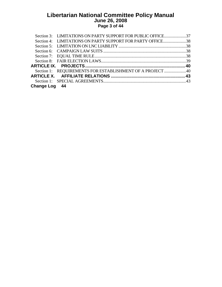#### **Libertarian National Committee Policy Manual June 26, 2008 Page 3 of 44**

|               | Section 3: LIMITATIONS ON PARTY SUPPORT FOR PUBLIC OFFICE37      |  |
|---------------|------------------------------------------------------------------|--|
|               | Section 4: LIMITATIONS ON PARTY SUPPORT FOR PARTY OFFICE38       |  |
|               |                                                                  |  |
|               |                                                                  |  |
|               |                                                                  |  |
|               |                                                                  |  |
|               |                                                                  |  |
|               | Section 1: REQUIREMENTS FOR ESTABLISHMENT OF A PROJECT 40        |  |
|               | ARTICLE X.      AFFILIATE RELATIONS ……………………………………………………………………43 |  |
|               |                                                                  |  |
| Change Log 44 |                                                                  |  |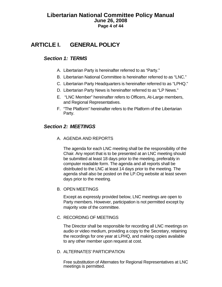## <span id="page-3-0"></span>**Libertarian National Committee Policy Manual June 26, 2008 Page 4 of 44**

# **ARTICLE I. GENERAL POLICY**

# *Section 1: TERMS*

- A. Libertarian Party is hereinafter referred to as "Party."
- B. Libertarian National Committee is hereinafter referred to as "LNC."
- C. Libertarian Party Headquarters is hereinafter referred to as "LPHQ."
- D. Libertarian Party News is hereinafter referred to as "LP News."
- E. "LNC Member" hereinafter refers to Officers, At-Large members, and Regional Representatives.
- F. "The Platform" hereinafter refers to the Platform of the Libertarian Party.

# *Section 2: MEETINGS*

A. AGENDA AND REPORTS

The agenda for each LNC meeting shall be the responsibility of the Chair. Any report that is to be presented at an LNC meeting should be submitted at least 18 days prior to the meeting, preferably in computer readable form. The agenda and all reports shall be distributed to the LNC at least 14 days prior to the meeting. The agenda shall also be posted on the LP.Org website at least seven days prior to the meeting.

B. OPEN MEETINGS

Except as expressly provided below, LNC meetings are open to Party members. However, participation is not permitted except by majority vote of the committee.

#### C. RECORDING OF MEETINGS

The Director shall be responsible for recording all LNC meetings on audio or video medium, providing a copy to the Secretary, retaining the recordings for one year at LPHQ, and making copies available to any other member upon request at cost.

#### D. ALTERNATES' PARTICIPATION

Free substitution of Alternates for Regional Representatives at LNC meetings is permitted.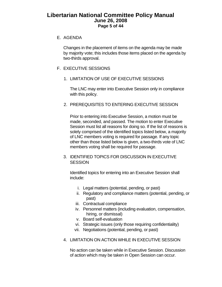# **Libertarian National Committee Policy Manual June 26, 2008 Page 5 of 44**

#### E. AGENDA

Changes in the placement of items on the agenda may be made by majority vote; this includes those items placed on the agenda by two-thirds approval.

#### F. EXECUTIVE SESSIONS

1. LIMITATION OF USE OF EXECUTIVE SESSIONS

The LNC may enter into Executive Session only in compliance with this policy.

2. PREREQUISITES TO ENTERING EXECUTIVE SESSION

Prior to entering into Executive Session, a motion must be made, seconded, and passed. The motion to enter Executive Session must list all reasons for doing so. If the list of reasons is solely comprised of the identified topics listed below, a majority of LNC members voting is required for passage. If any topic other than those listed below is given, a two-thirds vote of LNC members voting shall be required for passage.

3. IDENTIFIED TOPICS FOR DISCUSSION IN EXECUTIVE **SESSION** 

Identified topics for entering into an Executive Session shall include:

- i. Legal matters (potential, pending, or past)
- ii. Regulatory and compliance matters (potential, pending, or past)
- iii. Contractual compliance
- iv. Personnel matters (including evaluation, compensation, hiring, or dismissal)
- v. Board self-evaluation
- vi. Strategic issues (only those requiring confidentiality)
- vii. Negotiations (potential, pending, or past)
- 4. LIMITATION ON ACTION WHILE IN EXECUTIVE SESSION

No action can be taken while in Executive Session. Discussion of action which may be taken in Open Session can occur.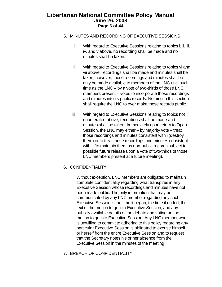## **Libertarian National Committee Policy Manual June 26, 2008 Page 6 of 44**

- 5. MINUTES AND RECORDING OF EXECUTIVE SESSIONS
	- i. With regard to Executive Sessions relating to topics i, ii, iii, iv, and v above, no recording shall be made and no minutes shall be taken.
	- ii. With regard to Executive Sessions relating to topics vi and vii above, recordings shall be made and minutes shall be taken, however, those recordings and minutes shall be only be made available to members of the LNC until such time as the LNC – by a vote of two-thirds of those LNC members present – votes to incorporate those recordings and minutes into its public records. Nothing in this section shall require the LNC to ever make these records public.
	- iii. With regard to Executive Sessions relating to topics not enumerated above, recordings shall be made and minutes shall be taken. Immediately upon return to Open Session, the LNC may either – by majority vote – treat those recordings and minutes consistent with i (destroy them) or to treat those recordings and minutes consistent with ii (to maintain them as non-public records subject to possible future release upon a vote of two-thirds of those LNC members present at a future meeting).
- 6. CONFIDENTIALITY

Without exception, LNC members are obligated to maintain complete confidentiality regarding what transpires in any Executive Session whose recordings and minutes have not been made public. The only information that may be communicated by any LNC member regarding any such Executive Session is the time it began, the time it ended, the text of the motion to go into Executive Session, and any publicly available details of the debate and voting on the motion to go into Executive Session. Any LNC member who is unwilling to commit to adhering to this policy regarding any particular Executive Session is obligated to excuse himself or herself from the entire Executive Session and to request that the Secretary notes his or her absence from the Executive Session in the minutes of the meeting.

7. BREACH OF CONFIDENTIALITY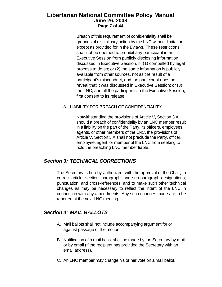# <span id="page-6-0"></span>**Libertarian National Committee Policy Manual June 26, 2008 Page 7 of 44**

Breach of this requirement of confidentiality shall be grounds of disciplinary action by the LNC without limitation except as provided for in the Bylaws. These restrictions shall not be deemed to prohibit any participant in an Executive Session from publicly disclosing information discussed in Executive Session, if: (1) compelled by legal process to do so; or (2) the same information is publicly available from other sources, not as the result of a participant's misconduct, and the participant does not reveal that it was discussed in Executive Session; or (3) the LNC, and all the participants in the Executive Session, first consent to its release.

#### 8. LIABILITY FOR BREACH OF CONFIDENTIALITY

Notwithstanding the provisions of Article V, Section 3 A, should a breach of confidentiality by an LNC member result in a liability on the part of the Party, its officers, employees, agents, or other members of the LNC, the provisions of Article V, Section 3 A shall not preclude the Party, officer, employee, agent, or member of the LNC from seeking to hold the breaching LNC member liable.

# *Section 3: TECHNICAL CORRECTIONS*

The Secretary is hereby authorized, with the approval of the Chair, to correct article, section, paragraph, and sub-paragraph designations; punctuation; and cross-references; and to make such other technical changes as may be necessary to reflect the intent of the LNC in connection with any amendments. Any such changes made are to be reported at the next LNC meeting.

# *Section 4: MAIL BALLOTS*

- A. Mail ballots shall not include accompanying argument for or against passage of the motion.
- B. Notification of a mail ballot shall be made by the Secretary by mail or by email (if the recipient has provided the Secretary with an email address).
- C. An LNC member may change his or her vote on a mail ballot,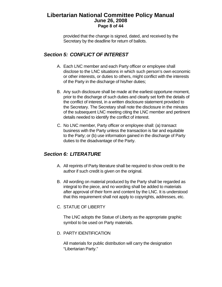## <span id="page-7-0"></span>**Libertarian National Committee Policy Manual June 26, 2008 Page 8 of 44**

provided that the change is signed, dated, and received by the Secretary by the deadline for return of ballots.

# *Section 5: CONFLICT OF INTEREST*

- A. Each LNC member and each Party officer or employee shall disclose to the LNC situations in which such person's own economic or other interests, or duties to others, might conflict with the interests of the Party in the discharge of his/her duties;
- B. Any such disclosure shall be made at the earliest opportune moment, prior to the discharge of such duties and clearly set forth the details of the conflict of interest, in a written disclosure statement provided to the Secretary. The Secretary shall note the disclosure in the minutes of the subsequent LNC meeting citing the LNC member and pertinent details needed to identify the conflict of interest.
- C. No LNC member, Party officer or employee shall: (a) transact business with the Party unless the transaction is fair and equitable to the Party; or (b) use information gained in the discharge of Party duties to the disadvantage of the Party.

# *Section 6: LITERATURE*

- A. All reprints of Party literature shall be required to show credit to the author if such credit is given on the original.
- B. All wording on material produced by the Party shall be regarded as integral to the piece, and no wording shall be added to materials after approval of their form and content by the LNC. It is understood that this requirement shall not apply to copyrights, addresses, etc.
- C. STATUE OF LIBERTY

The LNC adopts the Statue of Liberty as the appropriate graphic symbol to be used on Party materials.

D. PARTY IDENTIFICATION

All materials for public distribution will carry the designation "Libertarian Party."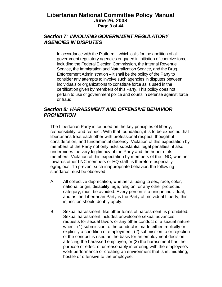## <span id="page-8-0"></span>**Libertarian National Committee Policy Manual June 26, 2008 Page 9 of 44**

# *Section 7: INVOLVING GOVERNMENT REGULATORY AGENCIES IN DISPUTES*

In accordance with the Platform – which calls for the abolition of all government regulatory agencies engaged in initiation of coercive force, including the Federal Election Commission, the Internal Revenue Service, the Immigration and Naturalization Service, and the Drug Enforcement Administration – it shall be the policy of the Party to consider any attempts to involve such agencies in disputes between individuals or organizations to constitute force as is used in the certification given by members of this Party. This policy does not pertain to use of government police and courts in defense against force or fraud.

# *Section 8: HARASSMENT AND OFFENSIVE BEHAVIOR PROHIBITION*

The Libertarian Party is founded on the key principles of liberty, responsibility, and respect. With that foundation, it is to be expected that libertarians treat each other with professional respect, thoughtful consideration, and fundamental decency. Violation of this expectation by members of the Party not only risks substantial legal penalties, it also undermines the very legitimacy of the Party and the honor of its members. Violation of this expectation by members of the LNC, whether towards other LNC members or HQ staff, is therefore especially egregious. To prevent such inappropriate behavior, the following standards must be observed:

- A. All collective deprecation, whether alluding to sex, race, color, national origin, disability, age, religion, or any other protected category, must be avoided. Every person is a unique individual, and as the Libertarian Party is the Party of Individual Liberty, this injunction should doubly apply.
- B. Sexual harassment, like other forms of harassment, is prohibited. Sexual harassment includes unwelcome sexual advances, requests for sexual favors or any other conduct of a sexual nature when: (1) submission to the conduct is made either implicitly or explicitly a condition of employment; (2) submission to or rejection of the conduct is used as the basis for an employment decision affecting the harassed employee; or (3) the harassment has the purpose or effect of unreasonably interfering with the employee's work performance or creating an environment that is intimidating, hostile or offensive to the employee.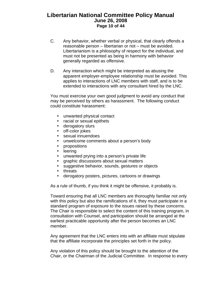# **Libertarian National Committee Policy Manual June 26, 2008 Page 10 of 44**

- C. Any behavior, whether verbal or physical, that clearly offends a reasonable person – libertarian or not – must be avoided. Libertarianism is a philosophy of respect for the individual, and must not be presented as being in harmony with behavior generally regarded as offensive.
- D. Any interaction which might be interpreted as abusing the apparent employer-employee relationship must be avoided. This applies to interactions of LNC members with staff, and is to be extended to interactions with any consultant hired by the LNC.

You must exercise your own good judgment to avoid any conduct that may be perceived by others as harassment. The following conduct could constitute harassment:

- unwanted physical contact
- racial or sexual epithets
- derogatory slurs
- off-color jokes
- sexual innuendoes
- unwelcome comments about a person's body
- $\cdot$  propositions
- **•** leering
- unwanted prying into a person's private life
- graphic discussions about sexual matters
- suggestive behavior, sounds, gestures or objects
- $\cdot$  threats
- derogatory posters, pictures, cartoons or drawings

As a rule of thumb, if you think it might be offensive, it probably is.

Toward ensuring that all LNC members are thoroughly familiar not only with this policy but also the ramifications of it, they must participate in a standard program of exposure to the issues raised by these concerns. The Chair is responsible to select the content of this training program, in consultation with Counsel, and participation should be arranged at the earliest practicable opportunity after the person becomes an LNC member.

Any agreement that the LNC enters into with an affiliate must stipulate that the affiliate incorporate the principles set forth in the policy.

Any violation of this policy should be brought to the attention of the Chair, or the Chairman of the Judicial Committee. In response to every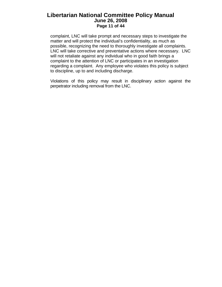# **Libertarian National Committee Policy Manual June 26, 2008 Page 11 of 44**

complaint, LNC will take prompt and necessary steps to investigate the matter and will protect the individual's confidentiality, as much as possible, recognizing the need to thoroughly investigate all complaints. LNC will take corrective and preventative actions where necessary. LNC will not retaliate against any individual who in good faith brings a complaint to the attention of LNC or participates in an investigation regarding a complaint. Any employee who violates this policy is subject to discipline, up to and including discharge.

Violations of this policy may result in disciplinary action against the perpetrator including removal from the LNC.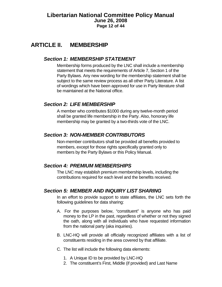# <span id="page-11-0"></span>**ARTICLE II. MEMBERSHIP**

# *Section 1: MEMBERSHIP STATEMENT*

Membership forms produced by the LNC shall include a membership statement that meets the requirements of Article 7, Section 1 of the Party Bylaws. Any new wording for the membership statement shall be subject to the same review process as all other Party Literature. A list of wordings which have been approved for use in Party literature shall be maintained at the National office.

# *Section 2: LIFE MEMBERSHIP*

A member who contributes \$1000 during any twelve-month period shall be granted life membership in the Party. Also, honorary life membership may be granted by a two-thirds vote of the LNC.

# *Section 3: NON-MEMBER CONTRIBUTORS*

Non-member contributors shall be provided all benefits provided to members, except for those rights specifically granted only to members by the Party Bylaws or this Policy Manual.

# *Section 4: PREMIUM MEMBERSHIPS*

The LNC may establish premium membership levels, including the contributions required for each level and the benefits received.

#### *Section 5: MEMBER AND INQUIRY LIST SHARING*

In an effort to provide support to state affiliates, the LNC sets forth the following guidelines for data sharing:

- A. For the purposes below, "constituent" is anyone who has paid money to the LP in the past, regardless of whether or not they signed the oath, along with all individuals who have requested information from the national party (aka inquiries).
- B. LNC-HQ will provide all officially recognized affiliates with a list of constituents residing in the area covered by that affiliate.
- C. The list will include the following data elements:
	- 1. A Unique ID to be provided by LNC-HQ
	- 2. The constituent's First, Middle (if provided) and Last Name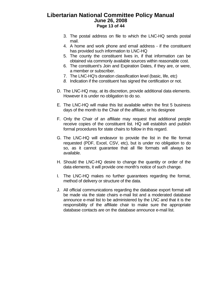## **Libertarian National Committee Policy Manual June 26, 2008 Page 13 of 44**

- 3. The postal address on file to which the LNC-HQ sends postal mail.
- 4. A home and work phone and email address if the constituent has provided such information to LNC-HQ
- 5. The county the constituent lives in, if that information can be obtained via commonly available sources within reasonable cost.
- 6. The constituent's Join and Expiration Dates, if they are, or were, a member or subscriber.
- 7. The LNC-HQ's donation classification level (basic, life, etc)
- *8.* Indication if the constituent has signed the certification or not.
- D. The LNC-HQ may, at its discretion, provide additional data elements. However it is under no obligation to do so.
- E. The LNC-HQ will make this list available within the first 5 business days of the month to the Chair of the affiliate, or his designee
- F. Only the Chair of an affiliate may request that additional people receive copies of the constituent list. HQ will establish and publish formal procedures for state chairs to follow in this regard.
- G. The LNC-HQ will endeavor to provide the list in the file format requested (PDF, Excel, CSV, etc), but is under no obligation to do so, as it cannot guarantee that all file formats will always be available.
- H. Should the LNC-HQ desire to change the quantity or order of the data elements, it will provide one month's notice of such change.
- I. The LNC-HQ makes no further guarantees regarding the format, method of delivery or structure of the data.
- J. All official communications regarding the database export format will be made via the state chairs e-mail list and a moderated database announce e-mail list to be administered by the LNC and that it is the responsibility of the affiliate chair to make sure the appropriate database contacts are on the database announce e-mail list.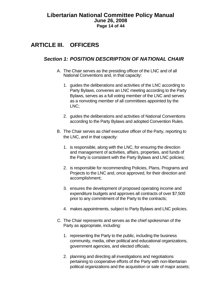# <span id="page-13-0"></span>**ARTICLE III. OFFICERS**

# *Section 1: POSITION DESCRIPTION OF NATIONAL CHAIR*

- A. The Chair serves as the presiding officer of the LNC and of all National Conventions and, in that capacity:
	- 1. guides the deliberations and activities of the LNC according to Party Bylaws, convenes an LNC meeting according to the Party Bylaws, serves as a full voting member of the LNC and serves as a nonvoting member of all committees appointed by the LNC;
	- 2. guides the deliberations and activities of National Conventions according to the Party Bylaws and adopted Convention Rules.
- B. The Chair serves as chief executive officer of the Party, reporting to the LNC, and in that capacity:
	- 1. is responsible, along with the LNC, for ensuring the direction and management of activities, affairs, properties, and funds of the Party is consistent with the Party Bylaws and LNC policies;
	- 2. is responsible for recommending Policies, Plans, Programs and Projects to the LNC and, once approved, for their direction and accomplishment;
	- 3. ensures the development of proposed operating income and expenditure budgets and approves all contracts of over \$7,500 prior to any commitment of the Party to the contracts;
	- 4. makes appointments, subject to Party Bylaws and LNC policies.
- C. The Chair represents and serves as the chief spokesman of the Party as appropriate, including:
	- 1. representing the Party to the public, including the business community, media, other political and educational organizations, government agencies, and elected officials;
	- 2. planning and directing all investigations and negotiations pertaining to cooperative efforts of the Party with non-libertarian political organizations and the acquisition or sale of major assets;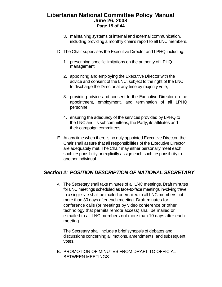# <span id="page-14-0"></span>**Libertarian National Committee Policy Manual June 26, 2008 Page 15 of 44**

- 3. maintaining systems of internal and external communication, including providing a monthly chair's report to all LNC members.
- D. The Chair supervises the Executive Director and LPHQ including:
	- 1. prescribing specific limitations on the authority of LPHQ management;
	- 2. appointing and employing the Executive Director with the advice and consent of the LNC, subject to the right of the LNC to discharge the Director at any time by majority vote;
	- 3. providing advice and consent to the Executive Director on the appointment, employment, and termination of all LPHQ personnel;
	- 4. ensuring the adequacy of the services provided by LPHQ to the LNC and its subcommittees, the Party, its affiliates and their campaign committees.
- E. At any time when there is no duly appointed Executive Director, the Chair shall assure that all responsibilities of the Executive Director are adequately met. The Chair may either personally meet each such responsibility or explicitly assign each such responsibility to another individual.

# *Section 2: POSITION DESCRIPTION OF NATIONAL SECRETARY*

A. The Secretary shall take minutes of all LNC meetings. Draft minutes for LNC meetings scheduled as face-to-face meetings involving travel to a single site shall be mailed or emailed to all LNC members not more than 30 days after each meeting. Draft minutes for conference calls (or meetings by video conference or other technology that permits remote access) shall be mailed or e-mailed to all LNC members not more than 10 days after each meeting.

The Secretary shall include a brief synopsis of debates and discussions concerning all motions, amendments, and subsequent votes.

B. PROMOTION OF MINUTES FROM DRAFT TO OFFICIAL BETWEEN MEETINGS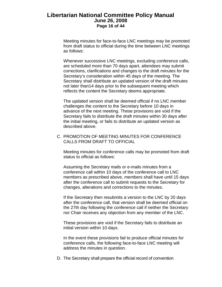## **Libertarian National Committee Policy Manual June 26, 2008 Page 16 of 44**

Meeting minutes for face-to-face LNC meetings may be promoted from draft status to official during the time between LNC meetings as follows:

Whenever successive LNC meetings, excluding conference calls, are scheduled more than 70 days apart, attendees may submit corrections, clarifications and changes to the draft minutes for the Secretary's consideration within 45 days of the meeting. The Secretary shall distribute an updated version of the draft minutes not later than14 days prior to the subsequent meeting which reflects the content the Secretary deems appropriate.

The updated version shall be deemed official if no LNC member challenges the content to the Secretary before 10 days in advance of the next meeting. These provisions are void if the Secretary fails to distribute the draft minutes within 30 days after the initial meeting, or fails to distribute an updated version as described above.

C. PROMOTION OF MEETING MINUTES FOR CONFERENCE CALLS FROM DRAFT TO OFFICIAL

Meeting minutes for conference calls may be promoted from draft status to official as follows:

Assuming the Secretary mails or e-mails minutes from a conference call within 10 days of the conference call to LNC members as prescribed above, members shall have until 15 days after the conference call to submit requests to the Secretary for changes, alterations and corrections to the minutes.

If the Secretary then resubmits a version to the LNC by 20 days after the conference call, that version shall be deemed official on the 27th day following the conference call if neither the Secretary nor Chair receives any objection from any member of the LNC.

These provisions are void if the Secretary fails to distribute an initial version within 10 days.

In the event these provisions fail to produce official minutes for conference calls, the following face-to-face LNC meeting will address the minutes in question.

D. The Secretary shall prepare the official record of convention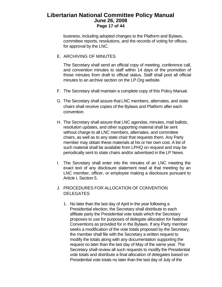## **Libertarian National Committee Policy Manual June 26, 2008 Page 17 of 44**

business, including adopted changes to the Platform and Bylaws, committee reports, resolutions, and the records of voting for offices, for approval by the LNC.

E. ARCHIVING OF MINUTES

The Secretary shall send an official copy of meeting, conference call, and convention minutes to staff within 14 days of the promotion of those minutes from draft to official status. Staff shall post all official minutes to an archive section on the LP.Org website.

- F. The Secretary shall maintain a complete copy of this Policy Manual.
- G. The Secretary shall assure that LNC members, alternates, and state chairs shall receive copies of the Bylaws and Platform after each convention.
- H. The Secretary shall assure that LNC agendas, minutes, mail ballots, resolution updates, and other supporting material shall be sent without charge to all LNC members, alternates, and committee chairs, as well as to any state chair that requests them. Any Party member may obtain these materials at his or her own cost. A list of such material shall be available from LPHQ on request and may be periodically sent to state chairs and/or advertised in the LP News.
- I. The Secretary shall enter into the minutes of an LNC meeting the exact text of any disclosure statement read at that meeting by an LNC member, officer, or employee making a disclosure pursuant to Article I, Section 5.
- J. PROCEDURES FOR ALLOCATION OF CONVENTION **DELEGATES** 
	- 1. No later than the last day of April in the year following a Presidential election, the Secretary shall distribute to each affiliate party the Presidential vote totals which the Secretary proposes to use for purposes of delegate allocation for National Conventions as provided for in the Bylaws. If any Party member seeks a modification of the vote totals proposed by the Secretary, the member shall file with the Secretary a written request to modify the totals along with any documentation supporting the request no later than the last day of May of the same year. The Secretary shall review all such requests to modify the Presidential vote totals and distribute a final allocation of delegates based on Presidential vote totals no later than the last day of July of the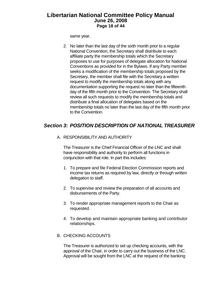# <span id="page-17-0"></span>**Libertarian National Committee Policy Manual June 26, 2008 Page 18 of 44**

same year.

2. No later than the last day of the sixth month prior to a regular National Convention, the Secretary shall distribute to each affiliate party the membership totals which the Secretary proposes to use for purposes of delegate allocation for National Conventions as provided for in the Bylaws. If any Party member seeks a modification of the membership totals proposed by the Secretary, the member shall file with the Secretary a written request to modify the membership totals along with any documentation supporting the request no later than the fifteenth day of the fifth month prior to the Convention. The Secretary shall review all such requests to modify the membership totals and distribute a final allocation of delegates based on the membership totals no later than the last day of the fifth month prior to the Convention.

# *Section 3: POSITION DESCRIPTION OF NATIONAL TREASURER*

A. RESPONSIBILITY AND AUTHORITY

The Treasurer is the Chief Financial Officer of the LNC and shall have responsibility and authority to perform all functions in conjunction with that role. In part this includes:

- 1. To prepare and file Federal Election Commission reports and income tax returns as required by law, directly or through written delegation to staff.
- 2. To supervise and review the preparation of all accounts and disbursements of the Party.
- 3. To render appropriate management reports to the Chair as requested.
- 4. To develop and maintain appropriate banking and contributor relationships.

#### B. CHECKING ACCOUNTS

The Treasurer is authorized to set up checking accounts, with the approval of the Chair, in order to carry out the business of the LNC. Approval will be sought from the LNC at the request of the banking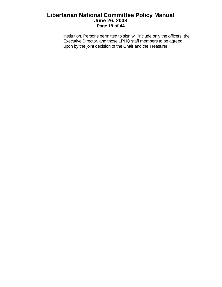# **Libertarian National Committee Policy Manual June 26, 2008 Page 19 of 44**

institution. Persons permitted to sign will include only the officers, the Executive Director, and those LPHQ staff members to be agreed upon by the joint decision of the Chair and the Treasurer.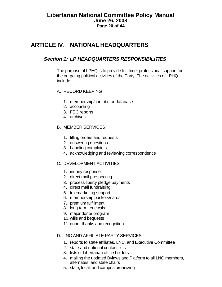# <span id="page-19-0"></span>**ARTICLE IV. NATIONAL HEADQUARTERS**

# *Section 1: LP HEADQUARTERS RESPONSIBILITIES*

The purpose of LPHQ is to provide full-time, professional support for the on-going political activities of the Party. The activities of LPHQ include:

- A. RECORD KEEPING
	- 1. membership/contributor database
	- 2. accounting
	- 3. FEC reports
	- 4. archives

#### B. MEMBER SERVICES

- 1. filling orders and requests
- 2. answering questions
- 3. handling complaints
- 4. acknowledging and reviewing correspondence

#### C. DEVELOPMENT ACTIVITIES

- 1. inquiry response
- 2. direct mail prospecting
- 3. process liberty pledge payments
- 4. direct mail fundraising
- 5. telemarketing support
- 6. membership packets/cards
- 7. premium fulfillment
- 8. long-term renewals
- 9. major donor program
- 10. wills and bequests
- 11. donor thanks and recognition

#### D. LNC AND AFFILIATE PARTY SERVICES

- 1. reports to state affiliates, LNC, and Executive Committee
- 2. state and national contact lists
- 3. lists of Libertarian office holders
- 4. mailing the updated Bylaws and Platform to all LNC members, alternates, and state chairs
- 5. state, local, and campus organizing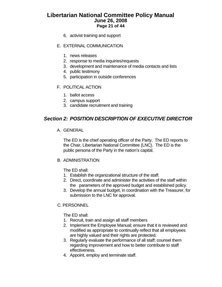# <span id="page-20-0"></span>**Libertarian National Committee Policy Manual June 26, 2008 Page 21 of 44**

- 6. activist training and support
- E. EXTERNAL COMMUNICATION
	- 1. news releases
	- 2. response to media inquiries/requests
	- 3. development and maintenance of media contacts and lists
	- 4. public testimony
	- 5. participation in outside conferences
- F. POLITICAL ACTION
	- 1. ballot access
	- 2. campus support
	- 3. candidate recruitment and training

# *Section 2: POSITION DESCRIPTION OF EXECUTIVE DIRECTOR*

A. GENERAL

The ED is the chief operating officer of the Party. The ED reports to the Chair, Libertarian National Committee (LNC). The ED is the public persona of the Party in the nation's capital.

#### B. ADMINISTRATION

The ED shall:

- 1. Establish the organizational structure of the staff.
- 2. Direct, coordinate and administer the activities of the staff within the parameters of the approved budget and established policy.
- 3. Develop the annual budget, in coordination with the Treasurer, for submission to the LNC for approval.

#### C. PERSONNEL

The ED shall:

- 1. Recruit, train and assign all staff members
- 2. Implement the Employee Manual; ensure that it is reviewed and modified as appropriate to continually reflect that all employees are highly valued and their rights are protected.
- 3. Regularly evaluate the performance of all staff; counsel them regarding improvement and how to better contribute to staff effectiveness.
- 4. Appoint, employ and terminate staff.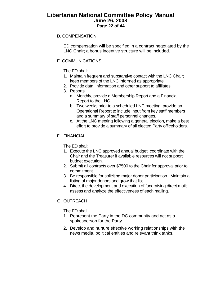# **Libertarian National Committee Policy Manual June 26, 2008 Page 22 of 44**

#### D. COMPENSATION

ED compensation will be specified in a contract negotiated by the LNC Chair; a bonus incentive structure will be included.

#### E. COMMUNICATIONS

The ED shall:

- 1. Maintain frequent and substantive contact with the LNC Chair; keep members of the LNC informed as appropriate
- 2. Provide data, information and other support to affiliates
- 3. Reports:
	- a. Monthly, provide a Membership Report and a Financial Report to the LNC.
	- b. Two weeks prior to a scheduled LNC meeting, provide an Operational Report to include input from key staff members and a summary of staff personnel changes.
	- c. At the LNC meeting following a general election, make a best effort to provide a summary of all elected Party officeholders.
- F. FINANCIAL

The ED shall:

- 1. Execute the LNC approved annual budget; coordinate with the Chair and the Treasurer if available resources will not support budget execution.
- 2. Submit all contracts over \$7500 to the Chair for approval prior to commitment.
- 3. Be responsible for soliciting major donor participation. Maintain a listing of major donors and grow that list.
- 4. Direct the development and execution of fundraising direct mail; assess and analyze the effectiveness of each mailing.
- G. OUTREACH

The ED shall:

- 1. Represent the Party in the DC community and act as a spokesperson for the Party.
- 2. Develop and nurture effective working relationships with the news media, political entities and relevant think tanks.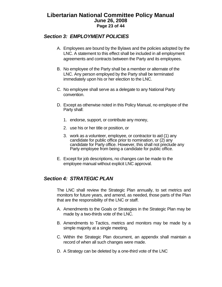# <span id="page-22-0"></span>**Libertarian National Committee Policy Manual June 26, 2008 Page 23 of 44**

# *Section 3: EMPLOYMENT POLICIES*

- A. Employees are bound by the Bylaws and the policies adopted by the LNC. A statement to this effect shall be included in all employment agreements and contracts between the Party and its employees.
- B. No employee of the Party shall be a member or alternate of the LNC. Any person employed by the Party shall be terminated immediately upon his or her election to the LNC.
- C. No employee shall serve as a delegate to any National Party convention.
- D. Except as otherwise noted in this Policy Manual, no employee of the Party shall:
	- 1. endorse, support, or contribute any money,
	- 2. use his or her title or position, or
	- 3. work as a volunteer, employee, or contractor to aid (1) any candidate for public office prior to nomination, or (2) any candidate for Party office. However, this shall not preclude any Party employee from being a candidate for public office.
- E. Except for job descriptions, no changes can be made to the employee manual without explicit LNC approval.

# *Section 4: STRATEGIC PLAN*

The LNC shall review the Strategic Plan annually, to set metrics and monitors for future years, and amend, as needed, those parts of the Plan that are the responsibility of the LNC or staff.

- A. Amendments to the Goals or Strategies in the Strategic Plan may be made by a two-thirds vote of the LNC.
- B. Amendments to Tactics, metrics and monitors may be made by a simple majority at a single meeting.
- C. Within the Strategic Plan document, an appendix shall maintain a record of when all such changes were made.
- D. A Strategy can be deleted by a one-third vote of the LNC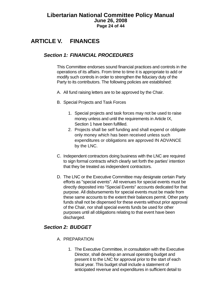# <span id="page-23-0"></span>**ARTICLE V. FINANCES**

# *Section 1: FINANCIAL PROCEDURES*

This Committee endorses sound financial practices and controls in the operations of its affairs. From time to time it is appropriate to add or modify such controls in order to strengthen the fiduciary duty of the Party to its contributors. The following policies are established:

- A. All fund raising letters are to be approved by the Chair.
- B. Special Projects and Task Forces
	- 1. Special projects and task forces may not be used to raise money unless and until the requirements in Article IX, Section 1 have been fulfilled.
	- 2. Projects shall be self funding and shall expend or obligate only money which has been received unless such expenditures or obligations are approved IN ADVANCE by the LNC.
- C. Independent contractors doing business with the LNC are required to sign formal contracts which clearly set forth the parties' intention that they be treated as independent contractors.
- D. The LNC or the Executive Committee may designate certain Party efforts as "special events". All revenues for special events must be directly deposited into "Special Events" accounts dedicated for that purpose. All disbursements for special events must be made from these same accounts to the extent their balances permit. Other party funds shall not be dispensed for these events without prior approval of the Chair, nor shall special events funds be used for other purposes until all obligations relating to that event have been discharged.

# *Section 2: BUDGET*

- A. PREPARATION
	- 1. The Executive Committee, in consultation with the Executive Director, shall develop an annual operating budget and present it to the LNC for approval prior to the start of each fiscal year. This budget shall include a statement of anticipated revenue and expenditures in sufficient detail to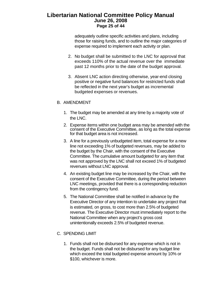# **Libertarian National Committee Policy Manual June 26, 2008 Page 25 of 44**

adequately outline specific activities and plans, including those for raising funds, and to outline the major categories of expense required to implement each activity or plan.

- 2. No budget shall be submitted to the LNC for approval that exceeds 110% of the actual revenue over the immediate past 12 months prior to the date of the budget approval.
- 3. Absent LNC action directing otherwise, year-end closing positive or negative fund balances for restricted funds shall be reflected in the next year's budget as incremental budgeted expenses or revenues.

#### B. AMENDMENT

- 1. The budget may be amended at any time by a majority vote of the LNC.
- 2. Expense items within one budget area may be amended with the consent of the Executive Committee, as long as the total expense for that budget area is not increased.
- 3. A line for a previously unbudgeted item, total expense for a new line not exceeding 1% of budgeted revenues, may be added to the budget by the Chair, with the consent of the Executive Committee. The cumulative amount budgeted for any item that was not approved by the LNC shall not exceed 1% of budgeted revenues without LNC approval.
- 4. An existing budget line may be increased by the Chair, with the consent of the Executive Committee, during the period between LNC meetings, provided that there is a corresponding reduction from the contingency fund.
- 5. The National Committee shall be notified in advance by the Executive Director of any intention to undertake any project that is estimated, on gross, to cost more than 2.5% of budgeted revenue. The Executive Director must immediately report to the National Committee when any project's gross cost unintentionally exceeds 2.5% of budgeted revenue.

#### C. SPENDING LIMIT

1. Funds shall not be disbursed for any expense which is not in the budget. Funds shall not be disbursed for any budget line which exceed the total budgeted expense amount by 10% or \$100, whichever is more.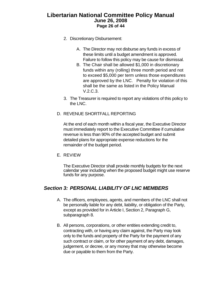## <span id="page-25-0"></span>**Libertarian National Committee Policy Manual June 26, 2008 Page 26 of 44**

- 2. Discretionary Disbursement:
	- A. The Director may not disburse any funds in excess of these limits until a budget amendment is approved. Failure to follow this policy may be cause for dismissal.
	- B. The Chair shall be allowed \$1,000 in discretionary funds within any (rolling) three month period and not to exceed \$5,000 per term unless those expenditures are approved by the LNC. Penalty for violation of this shall be the same as listed in the Policy Manual V.2.C.3.
- 3. The Treasurer is required to report any violations of this policy to the LNC.
- D. REVENUE SHORTFALL REPORTING

At the end of each month within a fiscal year, the Executive Director must immediately report to the Executive Committee if cumulative revenue is less than 90% of the accepted budget and submit detailed plans for appropriate expense reductions for the remainder of the budget period.

E. REVIEW

The Executive Director shall provide monthly budgets for the next calendar year including when the proposed budget might use reserve funds for any purpose.

# *Section 3: PERSONAL LIABILITY OF LNC MEMBERS*

- A. The officers, employees, agents, and members of the LNC shall not be personally liable for any debt, liability, or obligation of the Party, except as provided for in Article I, Section 2, Paragraph G, subparagraph 8.
- B. All persons, corporations, or other entities extending credit to, contracting with, or having any claim against, the Party may look only to the funds and property of the Party for the payment of any such contract or claim, or for other payment of any debt, damages, judgement, or decree, or any money that may otherwise become due or payable to them from the Party.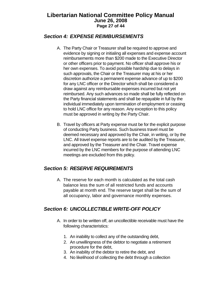# <span id="page-26-0"></span>**Libertarian National Committee Policy Manual June 26, 2008 Page 27 of 44**

# *Section 4: EXPENSE REIMBURSEMENTS*

- A. The Party Chair or Treasurer shall be required to approve and evidence by signing or initialing all expenses and expense account reimbursements more than \$200 made to the Executive Director or other officers prior to payment. No officer shall approve his or her own expenses. To avoid possible hardship due to delays in such approvals, the Chair or the Treasurer may at his or her discretion authorize a permanent expense advance of up to \$200 for any LNC officer or the Director which shall be considered a draw against any reimbursable expenses incurred but not yet reimbursed. Any such advances so made shall be fully reflected on the Party financial statements and shall be repayable in full by the individual immediately upon termination of employment or ceasing to hold LNC office for any reason. Any exception to this policy must be approved in writing by the Party Chair.
- B. Travel by officers at Party expense must be for the explicit purpose of conducting Party business. Such business travel must be deemed necessary and approved by the Chair, in writing, or by the LNC. All travel expense reports are to be audited by the Treasurer, and approved by the Treasurer and the Chair. Travel expense incurred by the LNC members for the purpose of attending LNC meetings are excluded from this policy.

# *Section 5: RESERVE REQUIREMENTS*

A. The reserve for each month is calculated as the total cash balance less the sum of all restricted funds and accounts payable at month end. The reserve target shall be the sum of all occupancy, labor and governance monthly expenses.

# *Section 6: UNCOLLECTIBLE WRITE-OFF POLICY*

- A. In order to be written off, an uncollectible receivable must have the following characteristics:
	- 1. An inability to collect any of the outstanding debt,
	- 2. An unwillingness of the debtor to negotiate a retirement procedure for the debt,
	- 3. An inability of the debtor to retire the debt, and
	- 4. No likelihood of collecting the debt through a collection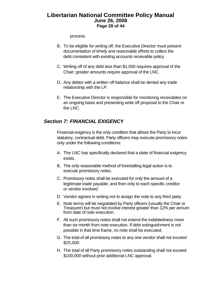## <span id="page-27-0"></span>**Libertarian National Committee Policy Manual June 26, 2008 Page 28 of 44**

process.

- B. To be eligible for writing off, the Executive Director must present documentation of timely and reasonable efforts to collect the debt consistent with existing accounts receivable policy.
- C. Writing off of any debt less than \$1,000 requires approval of the Chair; greater amounts require approval of the LNC.
- D. Any debtor with a written off balance shall be denied any trade relationship with the LP.
- E. The Executive Director is responsible for monitoring receivables on an ongoing basis and presenting write off proposal to the Chair or the LNC.

# *Section 7: FINANCIAL EXIGENCY*

Financial exigency is the only condition that allows the Party to incur statutory, contractual debt. Party officers may execute promissory notes only under the following conditions:

- A. The LNC has specifically declared that a state of financial exigency exists.
- B. The only reasonable method of forestalling legal action is to execute promissory notes.
- C. Promissory notes shall be executed for only the amount of a legitimate trade payable, and then only to each specific creditor or vendor involved.
- D. Vendor agrees in writing not to assign the note to any third party.
- E. Note terms will be negotiated by Party officers (usually the Chair or Treasurer) but must not involve interest greater than 12% per annum from date of note execution.
- F. All such promissory notes shall not extend the indebtedness more than six month from note execution. If debt extinguishment is not possible in that time frame, no note shall be executed.
- G. The total of all promissory notes to any one vendor shall not exceed \$25,000.
- H. The total of all Party promissory notes outstanding shall not exceed \$100,000 without prior additional LNC approval.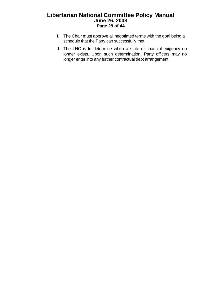# **Libertarian National Committee Policy Manual June 26, 2008 Page 29 of 44**

- I. The Chair must approve all negotiated terms with the goal being a schedule that the Party can successfully met.
- J. The LNC is to determine when a state of financial exigency no longer exists. Upon such determination, Party officers may no longer enter into any further contractual debt arrangement.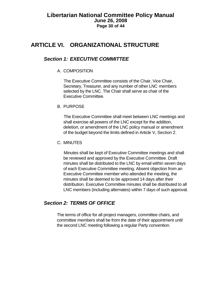# <span id="page-29-0"></span>**ARTICLE VI. ORGANIZATIONAL STRUCTURE**

# *Section 1: EXECUTIVE COMMITTEE*

#### A. COMPOSITION

The Executive Committee consists of the Chair, Vice Chair, Secretary, Treasurer, and any number of other LNC members selected by the LNC. The Chair shall serve as chair of the Executive Committee.

B. PURPOSE

The Executive Committee shall meet between LNC meetings and shall exercise all powers of the LNC except for the addition, deletion, or amendment of the LNC policy manual or amendment of the budget beyond the limits defined in Article V, Section 2.

C. MINUTES

Minutes shall be kept of Executive Committee meetings and shall be reviewed and approved by the Executive Committee. Draft minutes shall be distributed to the LNC by email within seven days of each Executive Committee meeting. Absent objection from an Executive Committee member who attended the meeting, the minutes shall be deemed to be approved 14 days after their distribution. Executive Committee minutes shall be distributed to all LNC members (including alternates) within 7 days of such approval.

# *Section 2: TERMS OF OFFICE*

The terms of office for all project managers, committee chairs, and committee members shall be from the date of their appointment until the second LNC meeting following a regular Party convention.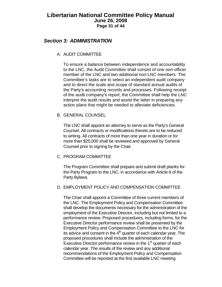## <span id="page-30-0"></span>**Libertarian National Committee Policy Manual June 26, 2008 Page 31 of 44**

# *Section 3: ADMINISTRATION*

#### A. AUDIT COMMITTEE

To ensure a balance between independence and accountability to the LNC, the Audit Committee shall consist of one non-officer member of the LNC and two additional non-LNC members. The Committee's tasks are to select an independent audit company and to direct the scale and scope of standard annual audits of the Party's accounting records and processes. Following receipt of the audit company's report, the Committee shall help the LNC interpret the audit results and assist the latter in preparing any action plans that might be needed to alleviate deficiencies.

#### B. GENERAL COUNSEL

The LNC shall appoint an attorney to serve as the Party's General Counsel. All contracts or modifications thereto are to be reduced to writing. All contracts of more than one year in duration or for more than \$25,000 shall be reviewed and approved by General Counsel prior to signing by the Chair.

#### C. PROGRAM COMMITTEE

The Program Committee shall prepare and submit draft planks for the Party Program to the LNC, in accordance with Article 6 of the Party Bylaws.

#### D. EMPLOYMENT POLICY AND COMPENSATION COMMITTEE

The Chair shall appoint a Committee of three current members of the LNC. The Employment Policy and Compensation Committee shall develop the documents necessary for the administration of the employment of the Executive Director, including but not limited to a performance review. Proposed procedures, including forms, for the Executive Director performance review shall be presented by the Employment Policy and Compensation Committee to the LNC for its advice and consent in the  $4<sup>th</sup>$  quarter of each calendar year. The proposed procedures shall include the administration of the Executive Director performance review in the  $1<sup>st</sup>$  quarter of each calendar year. The results of the review and any additional recommendations of the Employment Policy and Compensation Committee will be reported at the first available LNC meeting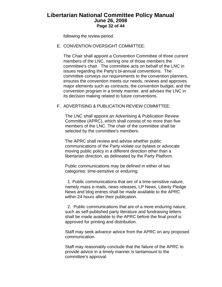## **Libertarian National Committee Policy Manual June 26, 2008 Page 32 of 44**

following the review period.

E. CONVENTION OVERSIGHT COMMITTEE:

The Chair shall appoint a Convention Committee of three current members of the LNC, naming one of those members the committee's chair. The committee acts on behalf of the LNC in issues regarding the Party's bi-annual conventions. The committee conveys our requirements to the convention planners, ensures the convention meets our needs, reviews and approves major elements such as contracts, the convention budget, and the convention program in a timely manner, and advises the LNC in its decision making related to future conventions.

#### F. ADVERTISING & PUBLICATION REVIEW COMMITTEE:

The LNC shall appoint an Advertising & Publication Review Committee (APRC), which shall consist of no more than five members of the LNC. The chair of the committee shall be selected by the committee's members.

The APRC shall review and advise whether public communications of the Party violate our bylaws or advocate moving public policy in a different direction other than a libertarian direction, as delineated by the Party Platform.

Public communications may be defined in either of two categories: time-sensitive or enduring.

 1. Public communications that are of a time-sensitive nature, namely mass e-mails, news releases, LP News, Liberty Pledge News and blog entries shall be made available to the APRC within 24 hours after their publication.

 2. Public communications that are of a more enduring nature, such as self-published party literature and fundraising letters shall be made available to the APRC before the final proof is approved for printing and distribution.

Staff may seek advance advice from the APRC on any proposed communication.

Staff may reasonably conclude that the failure of the APRC to provide advice in a timely manner is tantamount to the committee's approval.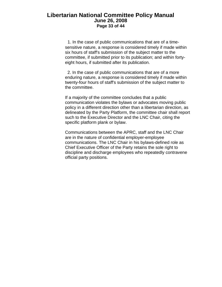#### **Libertarian National Committee Policy Manual June 26, 2008 Page 33 of 44**

 1. In the case of public communications that are of a timesensitive nature, a response is considered timely if made within six hours of staff's submission of the subject matter to the committee, if submitted prior to its publication; and within fortyeight hours, if submitted after its publication.

 2. In the case of public communications that are of a more enduring nature, a response is considered timely if made within twenty-four hours of staff's submission of the subject matter to the committee.

If a majority of the committee concludes that a public communication violates the bylaws or advocates moving public policy in a different direction other than a libertarian direction, as delineated by the Party Platform, the committee chair shall report such to the Executive Director and the LNC Chair, citing the specific platform plank or bylaw.

Communications between the APRC, staff and the LNC Chair are in the nature of confidential employer-employee communications. The LNC Chair in his bylaws-defined role as Chief Executive Officer of the Party retains the sole right to discipline and discharge employees who repeatedly contravene official party positions.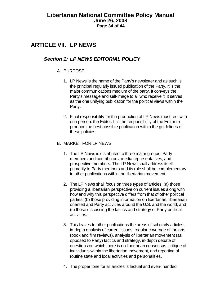# <span id="page-33-0"></span>**ARTICLE VII. LP NEWS**

# *Section 1: LP NEWS EDITORIAL POLICY*

#### A. PURPOSE

- 1. LP News is the name of the Party's newsletter and as such is the principal regularly issued publication of the Party. It is the major communications medium of the party. It conveys the Party's message and self-image to all who receive it. It serves as the one unifying publication for the political views within the Party.
- 2. Final responsibility for the production of LP News must rest with one person: the Editor. It is the responsibility of the Editor to produce the best possible publication within the guidelines of these policies.

#### B. MARKET FOR LP NEWS

- 1. The LP News is distributed to three major groups: Party members and contributors, media representatives, and prospective members. The LP News shall address itself primarily to Party members and its role shall be complementary to other publications within the libertarian movement.
- 2. The LP News shall focus on three types of articles: (a) those providing a libertarian perspective on current issues along with how and why this perspective differs from that of other political parties; (b) those providing information on libertarian, libertarian oriented and Party activities around the U.S. and the world; and (c) those discussing the tactics and strategy of Party political activities.
- 3. This leaves to other publications the areas of scholarly articles, in-depth analysis of current issues, regular coverage of the arts (book and film reviews), analysis of libertarian movement (as opposed to Party) tactics and strategy, in-depth debate of questions on which there is no libertarian consensus, critique of individuals within the libertarian movement, and reporting of routine state and local activities and personalities.
- 4. The proper tone for all articles is factual and even- handed.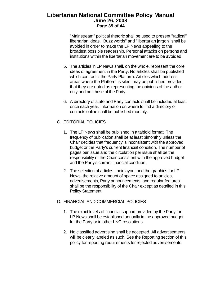# **Libertarian National Committee Policy Manual June 26, 2008 Page 35 of 44**

"Mainstream" political rhetoric shall be used to present "radical" libertarian ideas. "Buzz words" and "libertarian jargon" shall be avoided in order to make the LP News appealing to the broadest possible readership. Personal attacks on persons and institutions within the libertarian movement are to be avoided.

- 5. The articles in LP News shall, on the whole, represent the core ideas of agreement in the Party. No articles shall be published which contradict the Party Platform. Articles which address areas where the Platform is silent may be published provided that they are noted as representing the opinions of the author only and not those of the Party.
- 6. A directory of state and Party contacts shall be included at least once each year. Information on where to find a directory of contacts online shall be published monthly.
- C. EDITORIAL POLICIES
	- 1. The LP News shall be published in a tabloid format. The frequency of publication shall be at least bimonthly unless the Chair decides that frequency is inconsistent with the approved budget or the Party's current financial condition. The number of pages per issue and the circulation per issue shall be the responsibility of the Chair consistent with the approved budget and the Party's current financial condition.
	- 2. The selection of articles, their layout and the graphics for LP News, the relative amount of space assigned to articles, advertisements, Party announcements, and regular features shall be the responsibility of the Chair except as detailed in this Policy Statement.

#### D. FINANCIAL AND COMMERCIAL POLICIES

- 1. The exact levels of financial support provided by the Party for LP News shall be established annually in the approved budget for the Party or in other LNC resolutions.
- 2. No classified advertising shall be accepted. All advertisements will be clearly labeled as such. See the Reporting section of this policy for reporting requirements for rejected advertisements.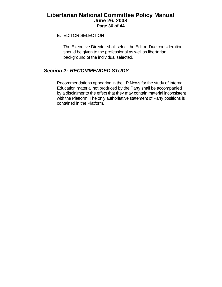# <span id="page-35-0"></span>**Libertarian National Committee Policy Manual June 26, 2008 Page 36 of 44**

#### E. EDITOR SELECTION

The Executive Director shall select the Editor. Due consideration should be given to the professional as well as libertarian background of the individual selected.

# *Section 2: RECOMMENDED STUDY*

Recommendations appearing in the LP News for the study of Internal Education material not produced by the Party shall be accompanied by a disclaimer to the effect that they may contain material inconsistent with the Platform. The only authoritative statement of Party positions is contained in the Platform.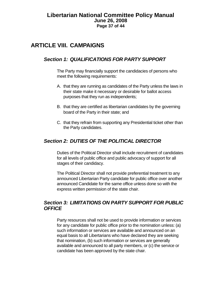## <span id="page-36-0"></span>**Libertarian National Committee Policy Manual June 26, 2008 Page 37 of 44**

# **ARTICLE VIII. CAMPAIGNS**

# *Section 1: QUALIFICATIONS FOR PARTY SUPPORT*

The Party may financially support the candidacies of persons who meet the following requirements:

- A. that they are running as candidates of the Party unless the laws in their state make it necessary or desirable for ballot access purposes that they run as independents;
- B. that they are certified as libertarian candidates by the governing board of the Party in their state; and
- C. that they refrain from supporting any Presidential ticket other than the Party candidates.

# *Section 2: DUTIES OF THE POLITICAL DIRECTOR*

Duties of the Political Director shall include recruitment of candidates for all levels of public office and public advocacy of support for all stages of their candidacy.

The Political Director shall not provide preferential treatment to any announced Libertarian Party candidate for public office over another announced Candidate for the same office unless done so with the express written permission of the state chair.

# *Section 3: LIMITATIONS ON PARTY SUPPORT FOR PUBLIC OFFICE*

Party resources shall not be used to provide information or services for any candidate for public office prior to the nomination unless: (a) such information or services are available and announced on an equal basis to all Libertarians who have declared they are seeking that nomination, (b) such information or services are generally available and announced to all party members, or (c) the service or candidate has been approved by the state chair.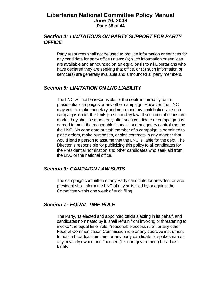#### <span id="page-37-0"></span>**Libertarian National Committee Policy Manual June 26, 2008 Page 38 of 44**

# *Section 4: LIMITATIONS ON PARTY SUPPORT FOR PARTY OFFICE*

Party resources shall not be used to provide information or services for any candidate for party office unless: (a) such information or services are available and announced on an equal basis to all Libertarians who have declared they are seeking that office, or (b) such information or service(s) are generally available and announced all party members.

## *Section 5: LIMITATION ON LNC LIABILITY*

The LNC will not be responsible for the debts incurred by future presidential campaigns or any other campaign. However, the LNC may vote to make monetary and non-monetary contributions to such campaigns under the limits prescribed by law. If such contributions are made, they shall be made only after such candidate or campaign has agreed to meet the reasonable financial and budgetary controls set by the LNC. No candidate or staff member of a campaign is permitted to place orders, make purchases, or sign contracts in any manner that would lead a person to assume that the LNC is liable for the debt. The Director is responsible for publicizing this policy to all candidates for the Presidential nomination and other candidates who seek aid from the LNC or the national office.

# *Section 6: CAMPAIGN LAW SUITS*

The campaign committee of any Party candidate for president or vice president shall inform the LNC of any suits filed by or against the Committee within one week of such filing.

# *Section 7: EQUAL TIME RULE*

The Party, its elected and appointed officials acting in its behalf, and candidates nominated by it, shall refrain from invoking or threatening to invoke "the equal time" rule, "reasonable access rule", or any other Federal Communication Commission rule or any coercive instrument to obtain broadcast air time for any party candidate or spokesman on any privately owned and financed (i.e. non-government) broadcast facility.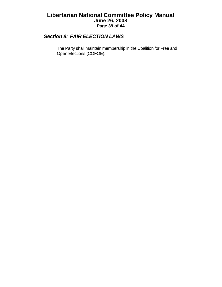# <span id="page-38-0"></span>**Libertarian National Committee Policy Manual June 26, 2008 Page 39 of 44**

# *Section 8: FAIR ELECTION LAWS*

The Party shall maintain membership in the Coalition for Free and Open Elections (COFOE).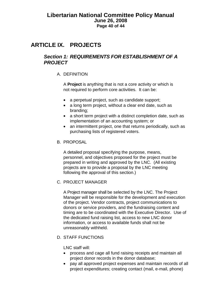# <span id="page-39-0"></span>**ARTICLE IX. PROJECTS**

# *Section 1: REQUIREMENTS FOR ESTABLISHMENT OF A PROJECT*

#### A. DEFINITION

A **Project** is anything that is not a core activity or which is not required to perform core activities. It can be:

- a perpetual project, such as candidate support;
- a long term project, without a clear end date, such as branding;
- a short term project with a distinct completion date, such as implementation of an accounting system; or
- an intermittent project, one that returns periodically, such as purchasing lists of registered voters.
- B. PROPOSAL

A detailed proposal specifying the purpose, means, personnel, and objectives proposed for the project must be prepared in writing and approved by the LNC. (All existing projects are to provide a proposal by the LNC meeting following the approval of this section.)

#### C. PROJECT MANAGER

A Project manager shall be selected by the LNC. The Project Manager will be responsible for the development and execution of the project. Vendor contracts, project communications to donors or service providers, and the fundraising content and timing are to be coordinated with the Executive Director. Use of the dedicated fund raising list, access to new LNC donor information, or access to available funds shall not be unreasonably withheld.

D. STAFF FUNCTIONS

LNC staff will:

- process and cage all fund raising receipts and maintain all project donor records in the donor database;
- pay all approved project expenses and maintain records of all project expenditures; creating contact (mail, e-mail, phone)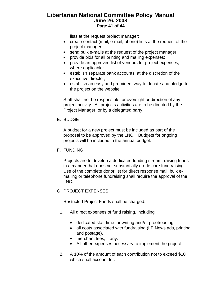# **Libertarian National Committee Policy Manual June 26, 2008 Page 41 of 44**

lists at the request project manager;

- create contact (mail, e-mail, phone) lists at the request of the project manager
- send bulk e-mails at the request of the project manager;
- provide bids for all printing and mailing expenses;
- provide an approved list of vendors for project expenses, where applicable;
- establish separate bank accounts, at the discretion of the executive director;
- establish an easy and prominent way to donate and pledge to the project on the website.

Staff shall not be responsible for oversight or direction of any project activity. All projects activities are to be directed by the Project Manager, or by a delegated party.

E. BUDGET

A budget for a new project must be included as part of the proposal to be approved by the LNC. Budgets for ongoing projects will be included in the annual budget.

F. FUNDING

Projects are to develop a dedicated funding stream, raising funds in a manner that does not substantially erode core fund raising. Use of the complete donor list for direct response mail, bulk emailing or telephone fundraising shall require the approval of the LNC.

#### G. PROJECT EXPENSES

Restricted Project Funds shall be charged:

- 1. All direct expenses of fund raising, including:
	- dedicated staff time for writing and/or proofreading;
	- all costs associated with fundraising (LP News ads, printing and postage).
	- merchant fees, if any.
	- All other expenses necessary to implement the project
- 2. A 10% of the amount of each contribution not to exceed \$10 which shall account for: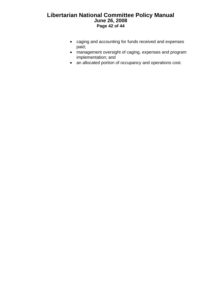# **Libertarian National Committee Policy Manual June 26, 2008 Page 42 of 44**

- caging and accounting for funds received and expenses paid;
- management oversight of caging, expenses and program implementation; and
- an allocated portion of occupancy and operations cost.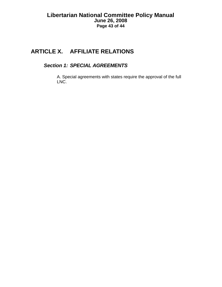# <span id="page-42-0"></span>**ARTICLE X. AFFILIATE RELATIONS**

# *Section 1: SPECIAL AGREEMENTS*

A. Special agreements with states require the approval of the full LNC.